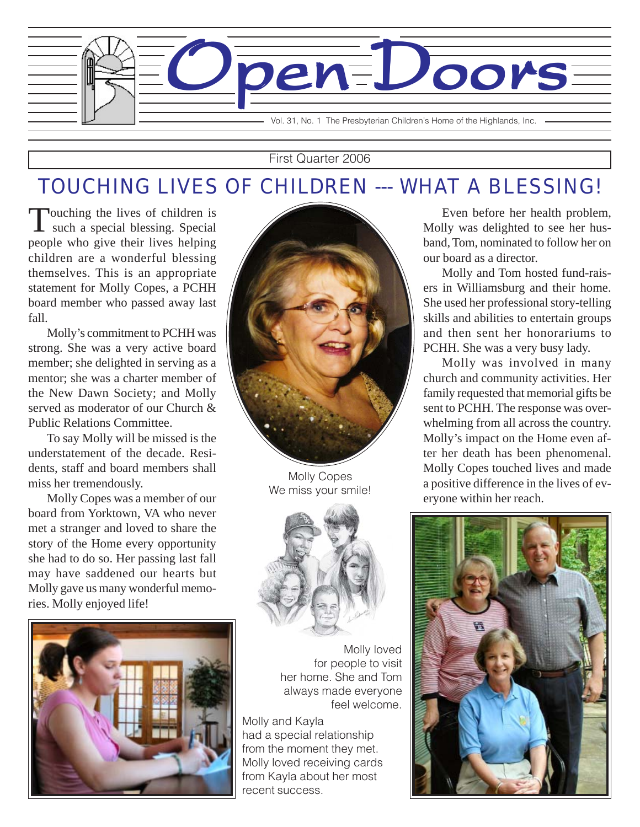

#### First Quarter 2006

### TOUCHING LIVES OF CHILDREN --- WHAT A BLESSING!

Touching the lives of children is<br>such a special blessing. Special people who give their lives helping children are a wonderful blessing themselves. This is an appropriate statement for Molly Copes, a PCHH board member who passed away last fall.

Molly's commitment to PCHH was strong. She was a very active board member; she delighted in serving as a mentor; she was a charter member of the New Dawn Society; and Molly served as moderator of our Church & Public Relations Committee.

To say Molly will be missed is the understatement of the decade. Residents, staff and board members shall miss her tremendously.

Molly Copes was a member of our board from Yorktown, VA who never met a stranger and loved to share the story of the Home every opportunity she had to do so. Her passing last fall may have saddened our hearts but Molly gave us many wonderful memories. Molly enjoyed life!





Molly Copes We miss your smile!



Molly loved for people to visit her home. She and Tom always made everyone feel welcome.

Molly and Kayla had a special relationship from the moment they met. Molly loved receiving cards from Kayla about her most recent success.

Even before her health problem, Molly was delighted to see her husband, Tom, nominated to follow her on our board as a director.

Molly and Tom hosted fund-raisers in Williamsburg and their home. She used her professional story-telling skills and abilities to entertain groups and then sent her honorariums to PCHH. She was a very busy lady.

Molly was involved in many church and community activities. Her family requested that memorial gifts be sent to PCHH. The response was overwhelming from all across the country. Molly's impact on the Home even after her death has been phenomenal. Molly Copes touched lives and made a positive difference in the lives of everyone within her reach.

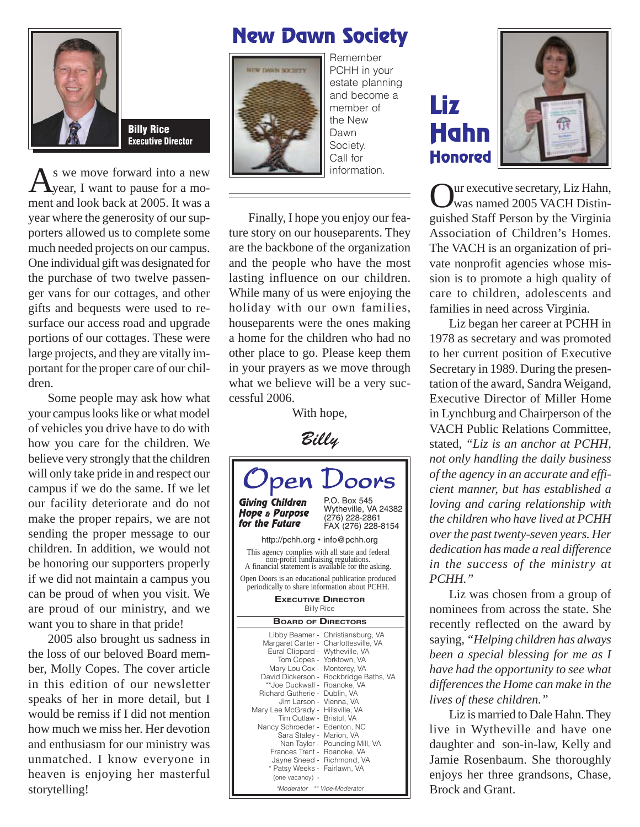

Billy Rice Executive Director

 $A<sup>s</sup>$  we move forward into a new<br>  $A<sup>s</sup>$  want to pause for a moment and look back at 2005. It was a year where the generosity of our supporters allowed us to complete some much needed projects on our campus. One individual gift was designated for the purchase of two twelve passenger vans for our cottages, and other gifts and bequests were used to resurface our access road and upgrade portions of our cottages. These were large projects, and they are vitally important for the proper care of our children.

Some people may ask how what your campus looks like or what model of vehicles you drive have to do with how you care for the children. We believe very strongly that the children will only take pride in and respect our campus if we do the same. If we let our facility deteriorate and do not make the proper repairs, we are not sending the proper message to our children. In addition, we would not be honoring our supporters properly if we did not maintain a campus you can be proud of when you visit. We are proud of our ministry, and we want you to share in that pride!

2005 also brought us sadness in the loss of our beloved Board member, Molly Copes. The cover article in this edition of our newsletter speaks of her in more detail, but I would be remiss if I did not mention how much we miss her. Her devotion and enthusiasm for our ministry was unmatched. I know everyone in heaven is enjoying her masterful storytelling!

#### New Dawn Society



PCHH in your estate planning and become a member of the New Dawn Society. Call for information.

Remember

Finally, I hope you enjoy our feature story on our houseparents. They are the backbone of the organization and the people who have the most lasting influence on our children. While many of us were enjoying the holiday with our own families, houseparents were the ones making a home for the children who had no other place to go. Please keep them in your prayers as we move through what we believe will be a very successful 2006.

With hope,



Liz Hahn **Honored** 



Our executive secretary, Liz Hahn, was named 2005 VACH Distinguished Staff Person by the Virginia Association of Children's Homes. The VACH is an organization of private nonprofit agencies whose mission is to promote a high quality of care to children, adolescents and families in need across Virginia.

Liz began her career at PCHH in 1978 as secretary and was promoted to her current position of Executive Secretary in 1989. During the presentation of the award, Sandra Weigand, Executive Director of Miller Home in Lynchburg and Chairperson of the VACH Public Relations Committee, stated, *"Liz is an anchor at PCHH, not only handling the daily business of the agency in an accurate and efficient manner, but has established a loving and caring relationship with the children who have lived at PCHH over the past twenty-seven years. Her dedication has made a real difference in the success of the ministry at PCHH."*

Liz was chosen from a group of nominees from across the state. She recently reflected on the award by saying, *"Helping children has always been a special blessing for me as I have had the opportunity to see what differences the Home can make in the lives of these children."*

Liz is married to Dale Hahn. They live in Wytheville and have one daughter and son-in-law, Kelly and Jamie Rosenbaum. She thoroughly enjoys her three grandsons, Chase, Brock and Grant.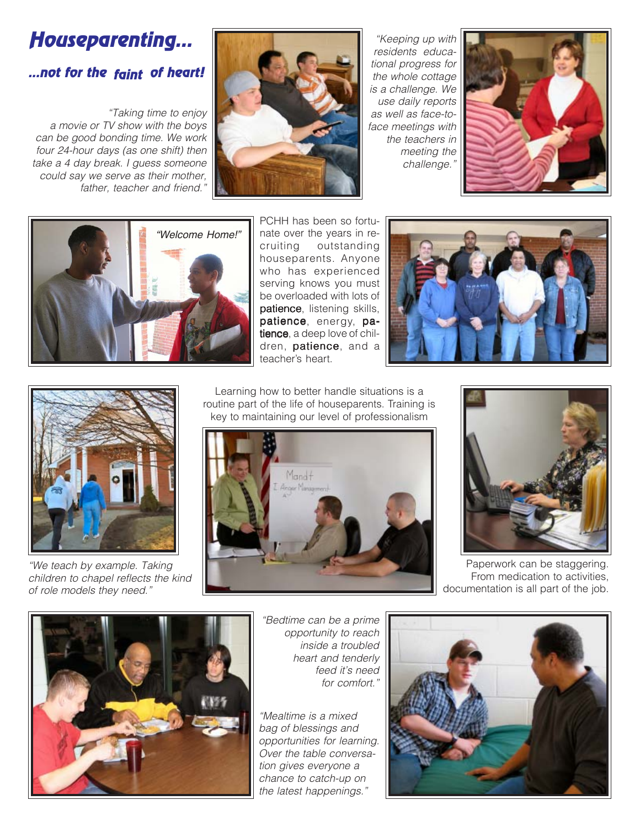## Houseparenting...

#### ...not for the <sub>faint</sub> of heart!

*"Taking time to enjoy a movie or TV show with the boys can be good bonding time. We work four 24-hour days (as one shift) then take a 4 day break. I guess someone could say we serve as their mother, father, teacher and friend."*



*"Keeping up with residents educational progress for the whole cottage is a challenge. We use daily reports as well as face-toface meetings with the teachers in meeting the challenge."*





PCHH has been so fortunate over the years in recruiting outstanding outstanding houseparents. Anyone who has experienced serving knows you must be overloaded with lots of patience, listening skills, patience, energy, patience, a deep love of children, patience, and a teacher's heart.





*"We teach by example. Taking children to chapel reflects the kind of role models they need."*

Learning how to better handle situations is a routine part of the life of houseparents. Training is key to maintaining our level of professionalism





Paperwork can be staggering. From medication to activities, documentation is all part of the job.



*"Bedtime can be a prime opportunity to reach inside a troubled heart and tenderly feed it's need for comfort."*

*"Mealtime is a mixed bag of blessings and opportunities for learning. Over the table conversation gives everyone a chance to catch-up on the latest happenings."*